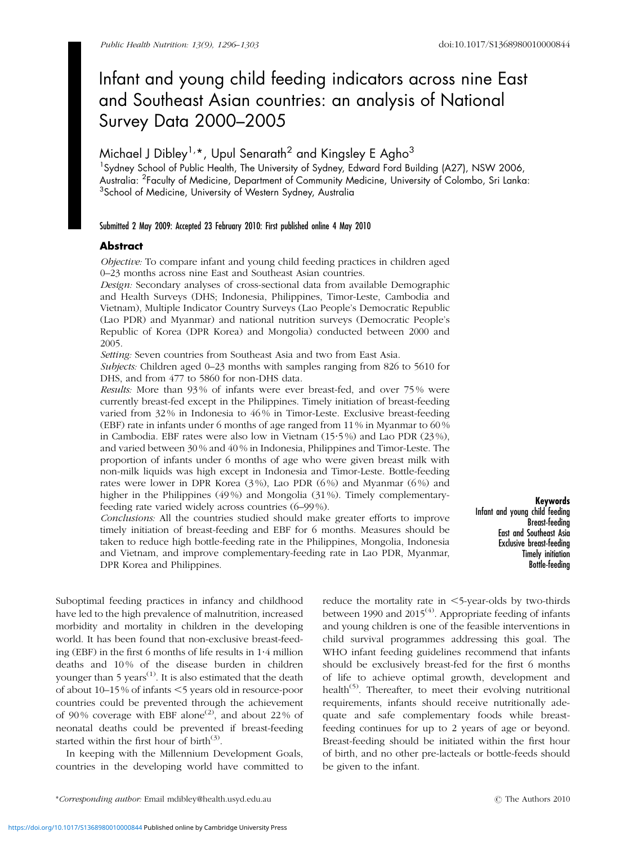# Infant and young child feeding indicators across nine East and Southeast Asian countries: an analysis of National Survey Data 2000–2005

# Michael J Dibley<sup>1,\*</sup>, Upul Senarath<sup>2</sup> and Kingsley E Agho<sup>3</sup>

<sup>1</sup> Sydney School of Public Health, The University of Sydney, Edward Ford Building (A27), NSW 2006, Australia: <sup>2</sup>Faculty of Medicine, Department of Community Medicine, University of Colombo, Sri Lanka:  ${}^{3}$ School of Medicine, University of Western Sydney, Australia

## Submitted 2 May 2009: Accepted 23 February 2010: First published online 4 May 2010

# Abstract

Objective: To compare infant and young child feeding practices in children aged 0–23 months across nine East and Southeast Asian countries.

Design: Secondary analyses of cross-sectional data from available Demographic and Health Surveys (DHS; Indonesia, Philippines, Timor-Leste, Cambodia and Vietnam), Multiple Indicator Country Surveys (Lao People's Democratic Republic (Lao PDR) and Myanmar) and national nutrition surveys (Democratic People's Republic of Korea (DPR Korea) and Mongolia) conducted between 2000 and 2005.

Setting: Seven countries from Southeast Asia and two from East Asia.

Subjects: Children aged 0–23 months with samples ranging from 826 to 5610 for DHS, and from 477 to 5860 for non-DHS data.

Results: More than 93 % of infants were ever breast-fed, and over 75 % were currently breast-fed except in the Philippines. Timely initiation of breast-feeding varied from 32 % in Indonesia to 46 % in Timor-Leste. Exclusive breast-feeding (EBF) rate in infants under 6 months of age ranged from 11 % in Myanmar to 60 % in Cambodia. EBF rates were also low in Vietnam (15?5 %) and Lao PDR (23 %), and varied between 30 % and 40 % in Indonesia, Philippines and Timor-Leste. The proportion of infants under 6 months of age who were given breast milk with non-milk liquids was high except in Indonesia and Timor-Leste. Bottle-feeding rates were lower in DPR Korea  $(3\%)$ , Lao PDR  $(6\%)$  and Myanmar  $(6\%)$  and higher in the Philippines (49%) and Mongolia (31%). Timely complementaryfeeding rate varied widely across countries (6–99 %).

Conclusions: All the countries studied should make greater efforts to improve timely initiation of breast-feeding and EBF for 6 months. Measures should be taken to reduce high bottle-feeding rate in the Philippines, Mongolia, Indonesia and Vietnam, and improve complementary-feeding rate in Lao PDR, Myanmar, DPR Korea and Philippines.

Keywords Infant and young child feeding Breast-feeding East and Southeast Asia Exclusive breast-feeding Timely initiation Bottle-feeding

Suboptimal feeding practices in infancy and childhood have led to the high prevalence of malnutrition, increased morbidity and mortality in children in the developing world. It has been found that non-exclusive breast-feeding (EBF) in the first  $6$  months of life results in  $1.4$  million deaths and 10 % of the disease burden in children younger than  $5$  years<sup>(1)</sup>. It is also estimated that the death of about 10–15% of infants <5 years old in resource-poor countries could be prevented through the achievement of 90% coverage with EBF alone<sup>(2)</sup>, and about 22% of neonatal deaths could be prevented if breast-feeding started within the first hour of birth<sup>(3)</sup>.

In keeping with the Millennium Development Goals, countries in the developing world have committed to

reduce the mortality rate in  $\leq$ 5-year-olds by two-thirds between 1990 and  $2015<sup>(4)</sup>$ . Appropriate feeding of infants and young children is one of the feasible interventions in child survival programmes addressing this goal. The WHO infant feeding guidelines recommend that infants should be exclusively breast-fed for the first 6 months of life to achieve optimal growth, development and health<sup>(5)</sup>. Thereafter, to meet their evolving nutritional requirements, infants should receive nutritionally adequate and safe complementary foods while breastfeeding continues for up to 2 years of age or beyond. Breast-feeding should be initiated within the first hour of birth, and no other pre-lacteals or bottle-feeds should be given to the infant.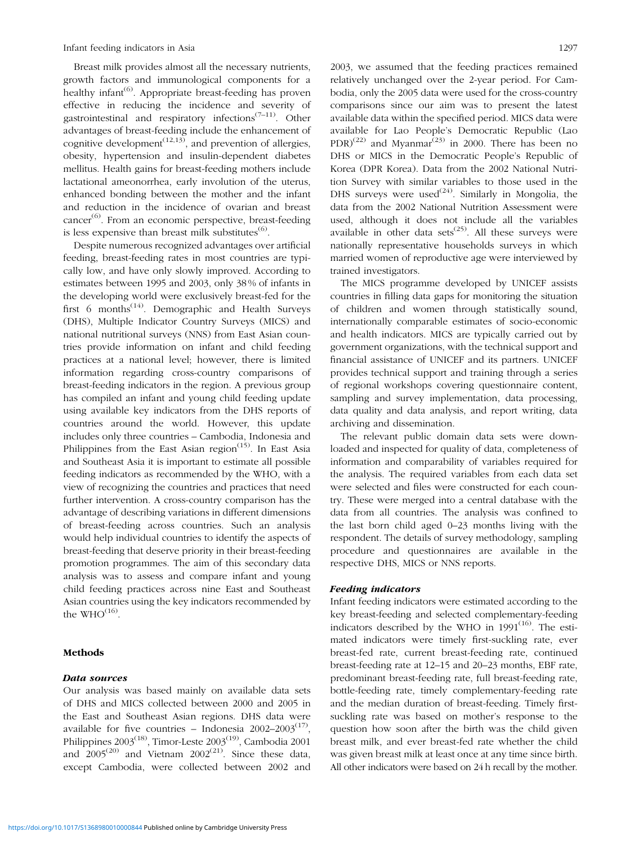Breast milk provides almost all the necessary nutrients, growth factors and immunological components for a healthy infant<sup> $(6)$ </sup>. Appropriate breast-feeding has proven effective in reducing the incidence and severity of gastrointestinal and respiratory infections<sup> $(7-11)$ </sup>. Other advantages of breast-feeding include the enhancement of cognitive development<sup> $(12,13)$ </sup>, and prevention of allergies, obesity, hypertension and insulin-dependent diabetes mellitus. Health gains for breast-feeding mothers include lactational ameonorrhea, early involution of the uterus, enhanced bonding between the mother and the infant and reduction in the incidence of ovarian and breast cancer $^{(6)}$ . From an economic perspective, breast-feeding is less expensive than breast milk substitutes $^{(6)}$ .

Despite numerous recognized advantages over artificial feeding, breast-feeding rates in most countries are typically low, and have only slowly improved. According to estimates between 1995 and 2003, only 38 % of infants in the developing world were exclusively breast-fed for the first 6 months<sup> $(14)$ </sup>. Demographic and Health Surveys (DHS), Multiple Indicator Country Surveys (MICS) and national nutritional surveys (NNS) from East Asian countries provide information on infant and child feeding practices at a national level; however, there is limited information regarding cross-country comparisons of breast-feeding indicators in the region. A previous group has compiled an infant and young child feeding update using available key indicators from the DHS reports of countries around the world. However, this update includes only three countries – Cambodia, Indonesia and Philippines from the East Asian region<sup>(15)</sup>. In East Asia and Southeast Asia it is important to estimate all possible feeding indicators as recommended by the WHO, with a view of recognizing the countries and practices that need further intervention. A cross-country comparison has the advantage of describing variations in different dimensions of breast-feeding across countries. Such an analysis would help individual countries to identify the aspects of breast-feeding that deserve priority in their breast-feeding promotion programmes. The aim of this secondary data analysis was to assess and compare infant and young child feeding practices across nine East and Southeast Asian countries using the key indicators recommended by the  $WHO^{(16)}$ .

#### Methods

### Data sources

Our analysis was based mainly on available data sets of DHS and MICS collected between 2000 and 2005 in the East and Southeast Asian regions. DHS data were available for five countries – Indonesia  $2002-2003^{(17)}$ , Philippines  $2003^{(18)}$ , Timor-Leste  $2003^{(19)}$ , Cambodia 2001 and  $2005^{(20)}$  and Vietnam  $2002^{(21)}$ . Since these data, except Cambodia, were collected between 2002 and 2003, we assumed that the feeding practices remained relatively unchanged over the 2-year period. For Cambodia, only the 2005 data were used for the cross-country comparisons since our aim was to present the latest available data within the specified period. MICS data were available for Lao People's Democratic Republic (Lao  $PDR$ <sup>(22)</sup> and Myanmar<sup>(23)</sup> in 2000. There has been no DHS or MICS in the Democratic People's Republic of Korea (DPR Korea). Data from the 2002 National Nutrition Survey with similar variables to those used in the DHS surveys were used<sup>(24)</sup>. Similarly in Mongolia, the data from the 2002 National Nutrition Assessment were used, although it does not include all the variables available in other data sets<sup> $(25)$ </sup>. All these surveys were nationally representative households surveys in which married women of reproductive age were interviewed by trained investigators.

The MICS programme developed by UNICEF assists countries in filling data gaps for monitoring the situation of children and women through statistically sound, internationally comparable estimates of socio-economic and health indicators. MICS are typically carried out by government organizations, with the technical support and financial assistance of UNICEF and its partners. UNICEF provides technical support and training through a series of regional workshops covering questionnaire content, sampling and survey implementation, data processing, data quality and data analysis, and report writing, data archiving and dissemination.

The relevant public domain data sets were downloaded and inspected for quality of data, completeness of information and comparability of variables required for the analysis. The required variables from each data set were selected and files were constructed for each country. These were merged into a central database with the data from all countries. The analysis was confined to the last born child aged 0–23 months living with the respondent. The details of survey methodology, sampling procedure and questionnaires are available in the respective DHS, MICS or NNS reports.

#### Feeding indicators

Infant feeding indicators were estimated according to the key breast-feeding and selected complementary-feeding indicators described by the WHO in  $1991^{(16)}$ . The estimated indicators were timely first-suckling rate, ever breast-fed rate, current breast-feeding rate, continued breast-feeding rate at 12–15 and 20–23 months, EBF rate, predominant breast-feeding rate, full breast-feeding rate, bottle-feeding rate, timely complementary-feeding rate and the median duration of breast-feeding. Timely firstsuckling rate was based on mother's response to the question how soon after the birth was the child given breast milk, and ever breast-fed rate whether the child was given breast milk at least once at any time since birth. All other indicators were based on 24h recall by the mother.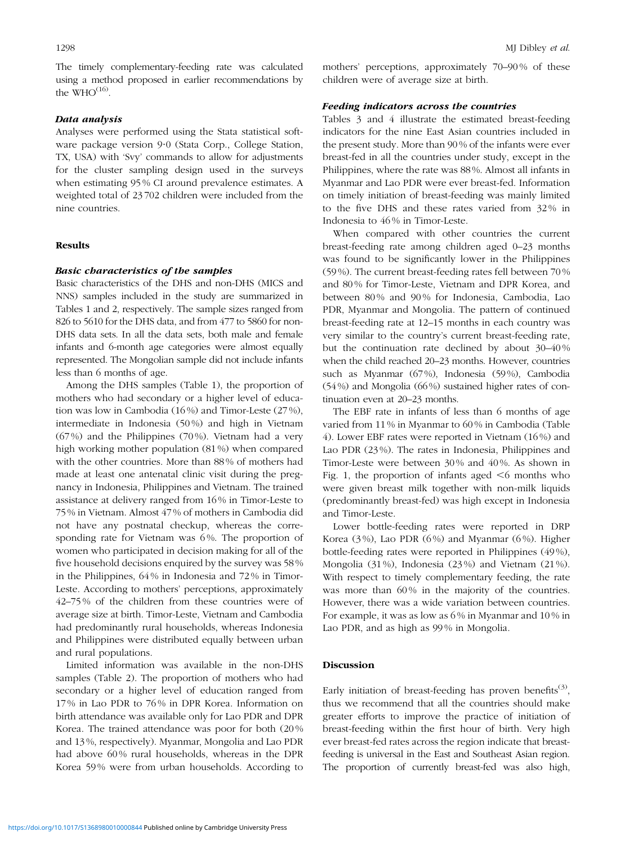The timely complementary-feeding rate was calculated using a method proposed in earlier recommendations by the  $WHO<sup>(16)</sup>$ .

# Data analysis

Analyses were performed using the Stata statistical software package version 9.0 (Stata Corp., College Station, TX, USA) with 'Svy' commands to allow for adjustments for the cluster sampling design used in the surveys when estimating 95 % CI around prevalence estimates. A weighted total of 23 702 children were included from the nine countries.

# Results

#### Basic characteristics of the samples

Basic characteristics of the DHS and non-DHS (MICS and NNS) samples included in the study are summarized in Tables 1 and 2, respectively. The sample sizes ranged from 826 to 5610 for the DHS data, and from 477 to 5860 for non-DHS data sets. In all the data sets, both male and female infants and 6-month age categories were almost equally represented. The Mongolian sample did not include infants less than 6 months of age.

Among the DHS samples (Table 1), the proportion of mothers who had secondary or a higher level of education was low in Cambodia (16 %) and Timor-Leste (27 %), intermediate in Indonesia (50 %) and high in Vietnam (67 %) and the Philippines (70 %). Vietnam had a very high working mother population (81 %) when compared with the other countries. More than 88 % of mothers had made at least one antenatal clinic visit during the pregnancy in Indonesia, Philippines and Vietnam. The trained assistance at delivery ranged from 16 % in Timor-Leste to 75 % in Vietnam. Almost 47 % of mothers in Cambodia did not have any postnatal checkup, whereas the corresponding rate for Vietnam was 6 %. The proportion of women who participated in decision making for all of the five household decisions enquired by the survey was 58 % in the Philippines, 64 % in Indonesia and 72 % in Timor-Leste. According to mothers' perceptions, approximately 42–75 % of the children from these countries were of average size at birth. Timor-Leste, Vietnam and Cambodia had predominantly rural households, whereas Indonesia and Philippines were distributed equally between urban and rural populations.

Limited information was available in the non-DHS samples (Table 2). The proportion of mothers who had secondary or a higher level of education ranged from 17 % in Lao PDR to 76 % in DPR Korea. Information on birth attendance was available only for Lao PDR and DPR Korea. The trained attendance was poor for both (20 % and 13 %, respectively). Myanmar, Mongolia and Lao PDR had above 60% rural households, whereas in the DPR Korea 59 % were from urban households. According to mothers' perceptions, approximately 70–90 % of these children were of average size at birth.

#### Feeding indicators across the countries

Tables 3 and 4 illustrate the estimated breast-feeding indicators for the nine East Asian countries included in the present study. More than 90 % of the infants were ever breast-fed in all the countries under study, except in the Philippines, where the rate was 88 %. Almost all infants in Myanmar and Lao PDR were ever breast-fed. Information on timely initiation of breast-feeding was mainly limited to the five DHS and these rates varied from 32 % in Indonesia to 46 % in Timor-Leste.

When compared with other countries the current breast-feeding rate among children aged 0–23 months was found to be significantly lower in the Philippines (59 %). The current breast-feeding rates fell between 70 % and 80 % for Timor-Leste, Vietnam and DPR Korea, and between 80 % and 90 % for Indonesia, Cambodia, Lao PDR, Myanmar and Mongolia. The pattern of continued breast-feeding rate at 12–15 months in each country was very similar to the country's current breast-feeding rate, but the continuation rate declined by about 30–40 % when the child reached 20–23 months. However, countries such as Myanmar (67%), Indonesia (59%), Cambodia (54%) and Mongolia (66%) sustained higher rates of continuation even at 20–23 months.

The EBF rate in infants of less than 6 months of age varied from 11 % in Myanmar to 60 % in Cambodia (Table 4). Lower EBF rates were reported in Vietnam (16 %) and Lao PDR (23 %). The rates in Indonesia, Philippines and Timor-Leste were between 30 % and 40 %. As shown in Fig. 1, the proportion of infants aged  $\leq 6$  months who were given breast milk together with non-milk liquids (predominantly breast-fed) was high except in Indonesia and Timor-Leste.

Lower bottle-feeding rates were reported in DRP Korea (3 %), Lao PDR (6 %) and Myanmar (6 %). Higher bottle-feeding rates were reported in Philippines (49 %), Mongolia (31 %), Indonesia (23 %) and Vietnam (21 %). With respect to timely complementary feeding, the rate was more than  $60\%$  in the majority of the countries. However, there was a wide variation between countries. For example, it was as low as 6 % in Myanmar and 10 % in Lao PDR, and as high as 99% in Mongolia.

# Discussion

Early initiation of breast-feeding has proven benefits<sup>(3)</sup>, thus we recommend that all the countries should make greater efforts to improve the practice of initiation of breast-feeding within the first hour of birth. Very high ever breast-fed rates across the region indicate that breastfeeding is universal in the East and Southeast Asian region. The proportion of currently breast-fed was also high,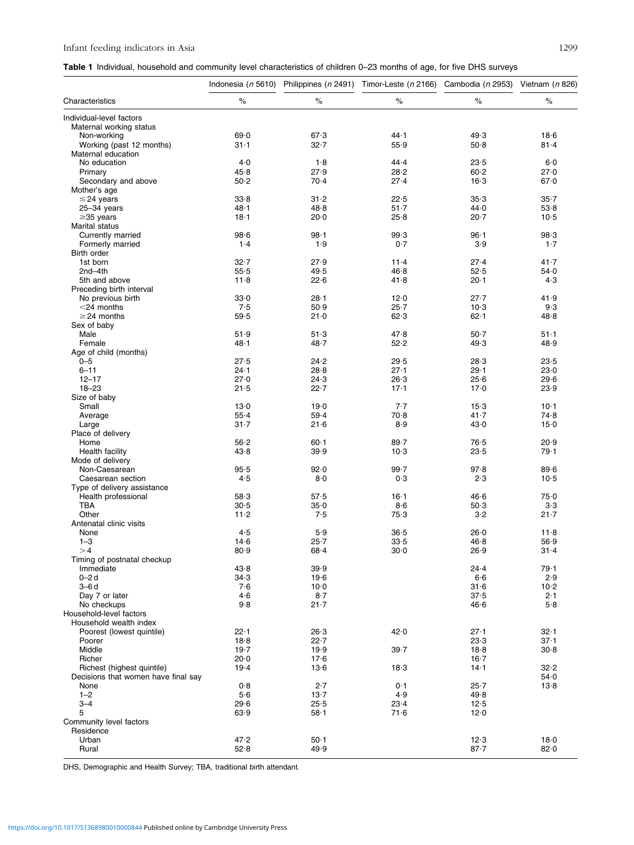# Infant feeding indicators in Asia 1299

|  |  | Table 1 Individual, household and community level characteristics of children 0-23 months of age, for five DHS surveys |  |  |
|--|--|------------------------------------------------------------------------------------------------------------------------|--|--|
|--|--|------------------------------------------------------------------------------------------------------------------------|--|--|

| $\%$<br>$\%$<br>$\%$<br>$\%$<br>$\%$<br>Characteristics<br>Individual-level factors<br>Maternal working status<br>44.1<br>69.0<br>67.3<br>49.3<br>18.6<br>Non-working<br>Working (past 12 months)<br>$31 - 1$<br>32.7<br>55.9<br>50.8<br>$81 - 4$<br>Maternal education<br>4.0<br>44.4<br>No education<br>1.8<br>23.5<br>6.0<br>27.9<br>Primary<br>45.8<br>28.2<br>60.2<br>27.0<br>50.2<br>70.4<br>27.4<br>16.3<br>67.0<br>Secondary and above<br>Mother's age<br>33.8<br>$31 - 2$<br>22.5<br>35.3<br>$35 - 7$<br>$\leq$ 24 years<br>48.1<br>48.8<br>51.7<br>44.0<br>25-34 years<br>53.8<br>18.1<br>20.7<br>$\geq$ 35 years<br>20.0<br>25.8<br>$10-5$<br>Marital status<br>98.1<br>98.6<br>99.3<br>$96 - 1$<br>98.3<br>Currently married<br>1.9<br>1.4<br>0.7<br>3.9<br>$1-7$<br>Formerly married<br>Birth order<br>1st born<br>$32 - 7$<br>27.4<br>41.7<br>27.9<br>$11 - 4$<br>2nd-4th<br>55.5<br>49.5<br>46.8<br>52.5<br>54.0<br>11.8<br>22.6<br>41.8<br>$20 - 1$<br>5th and above<br>4.3<br>Preceding birth interval<br>No previous birth<br>33.0<br>$28 - 1$<br>12.0<br>27.7<br>41.9<br>7.5<br>50.9<br>10.3<br>$<$ 24 months<br>$25-7$<br>9.3<br>$62 - 1$<br>$\geq$ 24 months<br>59.5<br>21.0<br>62.3<br>48.8<br>Sex of baby<br>Male<br>51.9<br>51.3<br>47.8<br>$50-7$<br>$51 - 1$<br>52.2<br>Female<br>48.1<br>48.7<br>49.3<br>48.9<br>Age of child (months)<br>27.5<br>29.5<br>28.3<br>$0 - 5$<br>24.2<br>23.5<br>$6 - 11$<br>$24 - 1$<br>$29 - 1$<br>23.0<br>28.8<br>27.1<br>$12 - 17$<br>27.0<br>24.3<br>25.6<br>29.6<br>26.3<br>$18 - 23$<br>22.7<br>21.5<br>$17 - 1$<br>17.0<br>23.9<br>Size of baby<br>Small<br>13.0<br>19.0<br>7.7<br>$15-3$<br>$10-1$<br>41.7<br>55.4<br>59.4<br>70.8<br>74.8<br>Average<br>$31 - 7$<br>21.6<br>8.9<br>43.0<br>15.0<br>Large<br>Place of delivery<br>Home<br>56.2<br>$60 - 1$<br>$89 - 7$<br>76.5<br>20.9<br>Health facility<br>43.8<br>39.9<br>$10-3$<br>23.5<br>79.1<br>Mode of delivery<br>99.7<br>Non-Caesarean<br>95.5<br>92.0<br>97.8<br>89.6<br>4.5<br>8·0<br>0.3<br>2.3<br>Caesarean section<br>$10-5$<br>Type of delivery assistance<br>Health professional<br>58.3<br>57.5<br>$16 - 1$<br>46.6<br>75.0<br>30.5<br>$35-0$<br>$3.3\,$<br>TBA<br>8·6<br>50.3<br>Other<br>75.3<br>11.2<br>7.5<br>3·2<br>$21 - 7$<br>Antenatal clinic visits<br>4.5<br>5.9<br>36.5<br>26.0<br>None<br>11.8<br>$1 - 3$<br>14.6<br>$25 - 7$<br>33.5<br>46.8<br>56.9<br>80.9<br>>4<br>68.4<br>$30-0$<br>26.9<br>$31 - 4$<br>Timing of postnatal checkup<br>Immediate<br>43.8<br>39.9<br>24.4<br>79.1<br>$0 - 2d$<br>34.3<br>19.6<br>6·6<br>2.9<br>$3 - 6d$<br>7·6<br>$10-0$<br>31.6<br>$10-2$<br>$8-7$<br>37.5<br>Day 7 or later<br>4.6<br>2.1<br>9.8<br>No checkups<br>$21 - 7$<br>46.6<br>5.8<br>Household-level factors<br>Household wealth index<br>Poorest (lowest quintile)<br>22.1<br>26.3<br>42.0<br>$27 - 1$<br>$32 - 1$<br>18.8<br>22.7<br>23.3<br>37.1<br>Poorer<br>Middle<br>19.7<br>19.9<br>39.7<br>18.8<br>30.8<br>20.0<br>$16 - 7$<br>Richer<br>17.6<br>$14 - 1$<br>32.2<br>19.4<br>13.6<br>Richest (highest quintile)<br>18.3<br>Decisions that women have final say<br>54.0<br>0.8<br>2.7<br>0.1<br>$25 - 7$<br>13.8<br>None<br>5.6<br>4.9<br>$1 - 2$<br>13.7<br>49.8<br>$3 - 4$<br>29.6<br>25.5<br>12.5<br>23.4<br>5<br>63.9<br>$58-1$<br>71.6<br>12.0<br>Community level factors<br>Residence<br>Urban<br>47.2<br>$50 - 1$<br>12.3<br>18.0<br>Rural<br>52.8<br>49.9<br>$87 - 7$<br>82.0 |  | Indonesia (n 5610) Philippines (n 2491) Timor-Leste (n 2166) Cambodia (n 2953) Vietnam (n 826) |  |  |
|-------------------------------------------------------------------------------------------------------------------------------------------------------------------------------------------------------------------------------------------------------------------------------------------------------------------------------------------------------------------------------------------------------------------------------------------------------------------------------------------------------------------------------------------------------------------------------------------------------------------------------------------------------------------------------------------------------------------------------------------------------------------------------------------------------------------------------------------------------------------------------------------------------------------------------------------------------------------------------------------------------------------------------------------------------------------------------------------------------------------------------------------------------------------------------------------------------------------------------------------------------------------------------------------------------------------------------------------------------------------------------------------------------------------------------------------------------------------------------------------------------------------------------------------------------------------------------------------------------------------------------------------------------------------------------------------------------------------------------------------------------------------------------------------------------------------------------------------------------------------------------------------------------------------------------------------------------------------------------------------------------------------------------------------------------------------------------------------------------------------------------------------------------------------------------------------------------------------------------------------------------------------------------------------------------------------------------------------------------------------------------------------------------------------------------------------------------------------------------------------------------------------------------------------------------------------------------------------------------------------------------------------------------------------------------------------------------------------------------------------------------------------------------------------------------------------------------------------------------------------------------------------------------------------------------------------------------------------------------------------------------------------------------------------------------------------------------------------------------------------------------------------------------------------------------------------------------------------------------------------------------------------------------------------------------------------------------------------------------------------------------------------------------------------------------------------|--|------------------------------------------------------------------------------------------------|--|--|
|                                                                                                                                                                                                                                                                                                                                                                                                                                                                                                                                                                                                                                                                                                                                                                                                                                                                                                                                                                                                                                                                                                                                                                                                                                                                                                                                                                                                                                                                                                                                                                                                                                                                                                                                                                                                                                                                                                                                                                                                                                                                                                                                                                                                                                                                                                                                                                                                                                                                                                                                                                                                                                                                                                                                                                                                                                                                                                                                                                                                                                                                                                                                                                                                                                                                                                                                                                                                                                           |  |                                                                                                |  |  |
|                                                                                                                                                                                                                                                                                                                                                                                                                                                                                                                                                                                                                                                                                                                                                                                                                                                                                                                                                                                                                                                                                                                                                                                                                                                                                                                                                                                                                                                                                                                                                                                                                                                                                                                                                                                                                                                                                                                                                                                                                                                                                                                                                                                                                                                                                                                                                                                                                                                                                                                                                                                                                                                                                                                                                                                                                                                                                                                                                                                                                                                                                                                                                                                                                                                                                                                                                                                                                                           |  |                                                                                                |  |  |
|                                                                                                                                                                                                                                                                                                                                                                                                                                                                                                                                                                                                                                                                                                                                                                                                                                                                                                                                                                                                                                                                                                                                                                                                                                                                                                                                                                                                                                                                                                                                                                                                                                                                                                                                                                                                                                                                                                                                                                                                                                                                                                                                                                                                                                                                                                                                                                                                                                                                                                                                                                                                                                                                                                                                                                                                                                                                                                                                                                                                                                                                                                                                                                                                                                                                                                                                                                                                                                           |  |                                                                                                |  |  |
|                                                                                                                                                                                                                                                                                                                                                                                                                                                                                                                                                                                                                                                                                                                                                                                                                                                                                                                                                                                                                                                                                                                                                                                                                                                                                                                                                                                                                                                                                                                                                                                                                                                                                                                                                                                                                                                                                                                                                                                                                                                                                                                                                                                                                                                                                                                                                                                                                                                                                                                                                                                                                                                                                                                                                                                                                                                                                                                                                                                                                                                                                                                                                                                                                                                                                                                                                                                                                                           |  |                                                                                                |  |  |
|                                                                                                                                                                                                                                                                                                                                                                                                                                                                                                                                                                                                                                                                                                                                                                                                                                                                                                                                                                                                                                                                                                                                                                                                                                                                                                                                                                                                                                                                                                                                                                                                                                                                                                                                                                                                                                                                                                                                                                                                                                                                                                                                                                                                                                                                                                                                                                                                                                                                                                                                                                                                                                                                                                                                                                                                                                                                                                                                                                                                                                                                                                                                                                                                                                                                                                                                                                                                                                           |  |                                                                                                |  |  |
|                                                                                                                                                                                                                                                                                                                                                                                                                                                                                                                                                                                                                                                                                                                                                                                                                                                                                                                                                                                                                                                                                                                                                                                                                                                                                                                                                                                                                                                                                                                                                                                                                                                                                                                                                                                                                                                                                                                                                                                                                                                                                                                                                                                                                                                                                                                                                                                                                                                                                                                                                                                                                                                                                                                                                                                                                                                                                                                                                                                                                                                                                                                                                                                                                                                                                                                                                                                                                                           |  |                                                                                                |  |  |
|                                                                                                                                                                                                                                                                                                                                                                                                                                                                                                                                                                                                                                                                                                                                                                                                                                                                                                                                                                                                                                                                                                                                                                                                                                                                                                                                                                                                                                                                                                                                                                                                                                                                                                                                                                                                                                                                                                                                                                                                                                                                                                                                                                                                                                                                                                                                                                                                                                                                                                                                                                                                                                                                                                                                                                                                                                                                                                                                                                                                                                                                                                                                                                                                                                                                                                                                                                                                                                           |  |                                                                                                |  |  |
|                                                                                                                                                                                                                                                                                                                                                                                                                                                                                                                                                                                                                                                                                                                                                                                                                                                                                                                                                                                                                                                                                                                                                                                                                                                                                                                                                                                                                                                                                                                                                                                                                                                                                                                                                                                                                                                                                                                                                                                                                                                                                                                                                                                                                                                                                                                                                                                                                                                                                                                                                                                                                                                                                                                                                                                                                                                                                                                                                                                                                                                                                                                                                                                                                                                                                                                                                                                                                                           |  |                                                                                                |  |  |
|                                                                                                                                                                                                                                                                                                                                                                                                                                                                                                                                                                                                                                                                                                                                                                                                                                                                                                                                                                                                                                                                                                                                                                                                                                                                                                                                                                                                                                                                                                                                                                                                                                                                                                                                                                                                                                                                                                                                                                                                                                                                                                                                                                                                                                                                                                                                                                                                                                                                                                                                                                                                                                                                                                                                                                                                                                                                                                                                                                                                                                                                                                                                                                                                                                                                                                                                                                                                                                           |  |                                                                                                |  |  |
|                                                                                                                                                                                                                                                                                                                                                                                                                                                                                                                                                                                                                                                                                                                                                                                                                                                                                                                                                                                                                                                                                                                                                                                                                                                                                                                                                                                                                                                                                                                                                                                                                                                                                                                                                                                                                                                                                                                                                                                                                                                                                                                                                                                                                                                                                                                                                                                                                                                                                                                                                                                                                                                                                                                                                                                                                                                                                                                                                                                                                                                                                                                                                                                                                                                                                                                                                                                                                                           |  |                                                                                                |  |  |
|                                                                                                                                                                                                                                                                                                                                                                                                                                                                                                                                                                                                                                                                                                                                                                                                                                                                                                                                                                                                                                                                                                                                                                                                                                                                                                                                                                                                                                                                                                                                                                                                                                                                                                                                                                                                                                                                                                                                                                                                                                                                                                                                                                                                                                                                                                                                                                                                                                                                                                                                                                                                                                                                                                                                                                                                                                                                                                                                                                                                                                                                                                                                                                                                                                                                                                                                                                                                                                           |  |                                                                                                |  |  |
|                                                                                                                                                                                                                                                                                                                                                                                                                                                                                                                                                                                                                                                                                                                                                                                                                                                                                                                                                                                                                                                                                                                                                                                                                                                                                                                                                                                                                                                                                                                                                                                                                                                                                                                                                                                                                                                                                                                                                                                                                                                                                                                                                                                                                                                                                                                                                                                                                                                                                                                                                                                                                                                                                                                                                                                                                                                                                                                                                                                                                                                                                                                                                                                                                                                                                                                                                                                                                                           |  |                                                                                                |  |  |
|                                                                                                                                                                                                                                                                                                                                                                                                                                                                                                                                                                                                                                                                                                                                                                                                                                                                                                                                                                                                                                                                                                                                                                                                                                                                                                                                                                                                                                                                                                                                                                                                                                                                                                                                                                                                                                                                                                                                                                                                                                                                                                                                                                                                                                                                                                                                                                                                                                                                                                                                                                                                                                                                                                                                                                                                                                                                                                                                                                                                                                                                                                                                                                                                                                                                                                                                                                                                                                           |  |                                                                                                |  |  |
|                                                                                                                                                                                                                                                                                                                                                                                                                                                                                                                                                                                                                                                                                                                                                                                                                                                                                                                                                                                                                                                                                                                                                                                                                                                                                                                                                                                                                                                                                                                                                                                                                                                                                                                                                                                                                                                                                                                                                                                                                                                                                                                                                                                                                                                                                                                                                                                                                                                                                                                                                                                                                                                                                                                                                                                                                                                                                                                                                                                                                                                                                                                                                                                                                                                                                                                                                                                                                                           |  |                                                                                                |  |  |
|                                                                                                                                                                                                                                                                                                                                                                                                                                                                                                                                                                                                                                                                                                                                                                                                                                                                                                                                                                                                                                                                                                                                                                                                                                                                                                                                                                                                                                                                                                                                                                                                                                                                                                                                                                                                                                                                                                                                                                                                                                                                                                                                                                                                                                                                                                                                                                                                                                                                                                                                                                                                                                                                                                                                                                                                                                                                                                                                                                                                                                                                                                                                                                                                                                                                                                                                                                                                                                           |  |                                                                                                |  |  |
|                                                                                                                                                                                                                                                                                                                                                                                                                                                                                                                                                                                                                                                                                                                                                                                                                                                                                                                                                                                                                                                                                                                                                                                                                                                                                                                                                                                                                                                                                                                                                                                                                                                                                                                                                                                                                                                                                                                                                                                                                                                                                                                                                                                                                                                                                                                                                                                                                                                                                                                                                                                                                                                                                                                                                                                                                                                                                                                                                                                                                                                                                                                                                                                                                                                                                                                                                                                                                                           |  |                                                                                                |  |  |
|                                                                                                                                                                                                                                                                                                                                                                                                                                                                                                                                                                                                                                                                                                                                                                                                                                                                                                                                                                                                                                                                                                                                                                                                                                                                                                                                                                                                                                                                                                                                                                                                                                                                                                                                                                                                                                                                                                                                                                                                                                                                                                                                                                                                                                                                                                                                                                                                                                                                                                                                                                                                                                                                                                                                                                                                                                                                                                                                                                                                                                                                                                                                                                                                                                                                                                                                                                                                                                           |  |                                                                                                |  |  |
|                                                                                                                                                                                                                                                                                                                                                                                                                                                                                                                                                                                                                                                                                                                                                                                                                                                                                                                                                                                                                                                                                                                                                                                                                                                                                                                                                                                                                                                                                                                                                                                                                                                                                                                                                                                                                                                                                                                                                                                                                                                                                                                                                                                                                                                                                                                                                                                                                                                                                                                                                                                                                                                                                                                                                                                                                                                                                                                                                                                                                                                                                                                                                                                                                                                                                                                                                                                                                                           |  |                                                                                                |  |  |
|                                                                                                                                                                                                                                                                                                                                                                                                                                                                                                                                                                                                                                                                                                                                                                                                                                                                                                                                                                                                                                                                                                                                                                                                                                                                                                                                                                                                                                                                                                                                                                                                                                                                                                                                                                                                                                                                                                                                                                                                                                                                                                                                                                                                                                                                                                                                                                                                                                                                                                                                                                                                                                                                                                                                                                                                                                                                                                                                                                                                                                                                                                                                                                                                                                                                                                                                                                                                                                           |  |                                                                                                |  |  |
|                                                                                                                                                                                                                                                                                                                                                                                                                                                                                                                                                                                                                                                                                                                                                                                                                                                                                                                                                                                                                                                                                                                                                                                                                                                                                                                                                                                                                                                                                                                                                                                                                                                                                                                                                                                                                                                                                                                                                                                                                                                                                                                                                                                                                                                                                                                                                                                                                                                                                                                                                                                                                                                                                                                                                                                                                                                                                                                                                                                                                                                                                                                                                                                                                                                                                                                                                                                                                                           |  |                                                                                                |  |  |
|                                                                                                                                                                                                                                                                                                                                                                                                                                                                                                                                                                                                                                                                                                                                                                                                                                                                                                                                                                                                                                                                                                                                                                                                                                                                                                                                                                                                                                                                                                                                                                                                                                                                                                                                                                                                                                                                                                                                                                                                                                                                                                                                                                                                                                                                                                                                                                                                                                                                                                                                                                                                                                                                                                                                                                                                                                                                                                                                                                                                                                                                                                                                                                                                                                                                                                                                                                                                                                           |  |                                                                                                |  |  |
|                                                                                                                                                                                                                                                                                                                                                                                                                                                                                                                                                                                                                                                                                                                                                                                                                                                                                                                                                                                                                                                                                                                                                                                                                                                                                                                                                                                                                                                                                                                                                                                                                                                                                                                                                                                                                                                                                                                                                                                                                                                                                                                                                                                                                                                                                                                                                                                                                                                                                                                                                                                                                                                                                                                                                                                                                                                                                                                                                                                                                                                                                                                                                                                                                                                                                                                                                                                                                                           |  |                                                                                                |  |  |
|                                                                                                                                                                                                                                                                                                                                                                                                                                                                                                                                                                                                                                                                                                                                                                                                                                                                                                                                                                                                                                                                                                                                                                                                                                                                                                                                                                                                                                                                                                                                                                                                                                                                                                                                                                                                                                                                                                                                                                                                                                                                                                                                                                                                                                                                                                                                                                                                                                                                                                                                                                                                                                                                                                                                                                                                                                                                                                                                                                                                                                                                                                                                                                                                                                                                                                                                                                                                                                           |  |                                                                                                |  |  |
|                                                                                                                                                                                                                                                                                                                                                                                                                                                                                                                                                                                                                                                                                                                                                                                                                                                                                                                                                                                                                                                                                                                                                                                                                                                                                                                                                                                                                                                                                                                                                                                                                                                                                                                                                                                                                                                                                                                                                                                                                                                                                                                                                                                                                                                                                                                                                                                                                                                                                                                                                                                                                                                                                                                                                                                                                                                                                                                                                                                                                                                                                                                                                                                                                                                                                                                                                                                                                                           |  |                                                                                                |  |  |
|                                                                                                                                                                                                                                                                                                                                                                                                                                                                                                                                                                                                                                                                                                                                                                                                                                                                                                                                                                                                                                                                                                                                                                                                                                                                                                                                                                                                                                                                                                                                                                                                                                                                                                                                                                                                                                                                                                                                                                                                                                                                                                                                                                                                                                                                                                                                                                                                                                                                                                                                                                                                                                                                                                                                                                                                                                                                                                                                                                                                                                                                                                                                                                                                                                                                                                                                                                                                                                           |  |                                                                                                |  |  |
|                                                                                                                                                                                                                                                                                                                                                                                                                                                                                                                                                                                                                                                                                                                                                                                                                                                                                                                                                                                                                                                                                                                                                                                                                                                                                                                                                                                                                                                                                                                                                                                                                                                                                                                                                                                                                                                                                                                                                                                                                                                                                                                                                                                                                                                                                                                                                                                                                                                                                                                                                                                                                                                                                                                                                                                                                                                                                                                                                                                                                                                                                                                                                                                                                                                                                                                                                                                                                                           |  |                                                                                                |  |  |
|                                                                                                                                                                                                                                                                                                                                                                                                                                                                                                                                                                                                                                                                                                                                                                                                                                                                                                                                                                                                                                                                                                                                                                                                                                                                                                                                                                                                                                                                                                                                                                                                                                                                                                                                                                                                                                                                                                                                                                                                                                                                                                                                                                                                                                                                                                                                                                                                                                                                                                                                                                                                                                                                                                                                                                                                                                                                                                                                                                                                                                                                                                                                                                                                                                                                                                                                                                                                                                           |  |                                                                                                |  |  |
|                                                                                                                                                                                                                                                                                                                                                                                                                                                                                                                                                                                                                                                                                                                                                                                                                                                                                                                                                                                                                                                                                                                                                                                                                                                                                                                                                                                                                                                                                                                                                                                                                                                                                                                                                                                                                                                                                                                                                                                                                                                                                                                                                                                                                                                                                                                                                                                                                                                                                                                                                                                                                                                                                                                                                                                                                                                                                                                                                                                                                                                                                                                                                                                                                                                                                                                                                                                                                                           |  |                                                                                                |  |  |
|                                                                                                                                                                                                                                                                                                                                                                                                                                                                                                                                                                                                                                                                                                                                                                                                                                                                                                                                                                                                                                                                                                                                                                                                                                                                                                                                                                                                                                                                                                                                                                                                                                                                                                                                                                                                                                                                                                                                                                                                                                                                                                                                                                                                                                                                                                                                                                                                                                                                                                                                                                                                                                                                                                                                                                                                                                                                                                                                                                                                                                                                                                                                                                                                                                                                                                                                                                                                                                           |  |                                                                                                |  |  |
|                                                                                                                                                                                                                                                                                                                                                                                                                                                                                                                                                                                                                                                                                                                                                                                                                                                                                                                                                                                                                                                                                                                                                                                                                                                                                                                                                                                                                                                                                                                                                                                                                                                                                                                                                                                                                                                                                                                                                                                                                                                                                                                                                                                                                                                                                                                                                                                                                                                                                                                                                                                                                                                                                                                                                                                                                                                                                                                                                                                                                                                                                                                                                                                                                                                                                                                                                                                                                                           |  |                                                                                                |  |  |
|                                                                                                                                                                                                                                                                                                                                                                                                                                                                                                                                                                                                                                                                                                                                                                                                                                                                                                                                                                                                                                                                                                                                                                                                                                                                                                                                                                                                                                                                                                                                                                                                                                                                                                                                                                                                                                                                                                                                                                                                                                                                                                                                                                                                                                                                                                                                                                                                                                                                                                                                                                                                                                                                                                                                                                                                                                                                                                                                                                                                                                                                                                                                                                                                                                                                                                                                                                                                                                           |  |                                                                                                |  |  |
|                                                                                                                                                                                                                                                                                                                                                                                                                                                                                                                                                                                                                                                                                                                                                                                                                                                                                                                                                                                                                                                                                                                                                                                                                                                                                                                                                                                                                                                                                                                                                                                                                                                                                                                                                                                                                                                                                                                                                                                                                                                                                                                                                                                                                                                                                                                                                                                                                                                                                                                                                                                                                                                                                                                                                                                                                                                                                                                                                                                                                                                                                                                                                                                                                                                                                                                                                                                                                                           |  |                                                                                                |  |  |
|                                                                                                                                                                                                                                                                                                                                                                                                                                                                                                                                                                                                                                                                                                                                                                                                                                                                                                                                                                                                                                                                                                                                                                                                                                                                                                                                                                                                                                                                                                                                                                                                                                                                                                                                                                                                                                                                                                                                                                                                                                                                                                                                                                                                                                                                                                                                                                                                                                                                                                                                                                                                                                                                                                                                                                                                                                                                                                                                                                                                                                                                                                                                                                                                                                                                                                                                                                                                                                           |  |                                                                                                |  |  |
|                                                                                                                                                                                                                                                                                                                                                                                                                                                                                                                                                                                                                                                                                                                                                                                                                                                                                                                                                                                                                                                                                                                                                                                                                                                                                                                                                                                                                                                                                                                                                                                                                                                                                                                                                                                                                                                                                                                                                                                                                                                                                                                                                                                                                                                                                                                                                                                                                                                                                                                                                                                                                                                                                                                                                                                                                                                                                                                                                                                                                                                                                                                                                                                                                                                                                                                                                                                                                                           |  |                                                                                                |  |  |
|                                                                                                                                                                                                                                                                                                                                                                                                                                                                                                                                                                                                                                                                                                                                                                                                                                                                                                                                                                                                                                                                                                                                                                                                                                                                                                                                                                                                                                                                                                                                                                                                                                                                                                                                                                                                                                                                                                                                                                                                                                                                                                                                                                                                                                                                                                                                                                                                                                                                                                                                                                                                                                                                                                                                                                                                                                                                                                                                                                                                                                                                                                                                                                                                                                                                                                                                                                                                                                           |  |                                                                                                |  |  |
|                                                                                                                                                                                                                                                                                                                                                                                                                                                                                                                                                                                                                                                                                                                                                                                                                                                                                                                                                                                                                                                                                                                                                                                                                                                                                                                                                                                                                                                                                                                                                                                                                                                                                                                                                                                                                                                                                                                                                                                                                                                                                                                                                                                                                                                                                                                                                                                                                                                                                                                                                                                                                                                                                                                                                                                                                                                                                                                                                                                                                                                                                                                                                                                                                                                                                                                                                                                                                                           |  |                                                                                                |  |  |
|                                                                                                                                                                                                                                                                                                                                                                                                                                                                                                                                                                                                                                                                                                                                                                                                                                                                                                                                                                                                                                                                                                                                                                                                                                                                                                                                                                                                                                                                                                                                                                                                                                                                                                                                                                                                                                                                                                                                                                                                                                                                                                                                                                                                                                                                                                                                                                                                                                                                                                                                                                                                                                                                                                                                                                                                                                                                                                                                                                                                                                                                                                                                                                                                                                                                                                                                                                                                                                           |  |                                                                                                |  |  |
|                                                                                                                                                                                                                                                                                                                                                                                                                                                                                                                                                                                                                                                                                                                                                                                                                                                                                                                                                                                                                                                                                                                                                                                                                                                                                                                                                                                                                                                                                                                                                                                                                                                                                                                                                                                                                                                                                                                                                                                                                                                                                                                                                                                                                                                                                                                                                                                                                                                                                                                                                                                                                                                                                                                                                                                                                                                                                                                                                                                                                                                                                                                                                                                                                                                                                                                                                                                                                                           |  |                                                                                                |  |  |
|                                                                                                                                                                                                                                                                                                                                                                                                                                                                                                                                                                                                                                                                                                                                                                                                                                                                                                                                                                                                                                                                                                                                                                                                                                                                                                                                                                                                                                                                                                                                                                                                                                                                                                                                                                                                                                                                                                                                                                                                                                                                                                                                                                                                                                                                                                                                                                                                                                                                                                                                                                                                                                                                                                                                                                                                                                                                                                                                                                                                                                                                                                                                                                                                                                                                                                                                                                                                                                           |  |                                                                                                |  |  |
|                                                                                                                                                                                                                                                                                                                                                                                                                                                                                                                                                                                                                                                                                                                                                                                                                                                                                                                                                                                                                                                                                                                                                                                                                                                                                                                                                                                                                                                                                                                                                                                                                                                                                                                                                                                                                                                                                                                                                                                                                                                                                                                                                                                                                                                                                                                                                                                                                                                                                                                                                                                                                                                                                                                                                                                                                                                                                                                                                                                                                                                                                                                                                                                                                                                                                                                                                                                                                                           |  |                                                                                                |  |  |
|                                                                                                                                                                                                                                                                                                                                                                                                                                                                                                                                                                                                                                                                                                                                                                                                                                                                                                                                                                                                                                                                                                                                                                                                                                                                                                                                                                                                                                                                                                                                                                                                                                                                                                                                                                                                                                                                                                                                                                                                                                                                                                                                                                                                                                                                                                                                                                                                                                                                                                                                                                                                                                                                                                                                                                                                                                                                                                                                                                                                                                                                                                                                                                                                                                                                                                                                                                                                                                           |  |                                                                                                |  |  |
|                                                                                                                                                                                                                                                                                                                                                                                                                                                                                                                                                                                                                                                                                                                                                                                                                                                                                                                                                                                                                                                                                                                                                                                                                                                                                                                                                                                                                                                                                                                                                                                                                                                                                                                                                                                                                                                                                                                                                                                                                                                                                                                                                                                                                                                                                                                                                                                                                                                                                                                                                                                                                                                                                                                                                                                                                                                                                                                                                                                                                                                                                                                                                                                                                                                                                                                                                                                                                                           |  |                                                                                                |  |  |
|                                                                                                                                                                                                                                                                                                                                                                                                                                                                                                                                                                                                                                                                                                                                                                                                                                                                                                                                                                                                                                                                                                                                                                                                                                                                                                                                                                                                                                                                                                                                                                                                                                                                                                                                                                                                                                                                                                                                                                                                                                                                                                                                                                                                                                                                                                                                                                                                                                                                                                                                                                                                                                                                                                                                                                                                                                                                                                                                                                                                                                                                                                                                                                                                                                                                                                                                                                                                                                           |  |                                                                                                |  |  |
|                                                                                                                                                                                                                                                                                                                                                                                                                                                                                                                                                                                                                                                                                                                                                                                                                                                                                                                                                                                                                                                                                                                                                                                                                                                                                                                                                                                                                                                                                                                                                                                                                                                                                                                                                                                                                                                                                                                                                                                                                                                                                                                                                                                                                                                                                                                                                                                                                                                                                                                                                                                                                                                                                                                                                                                                                                                                                                                                                                                                                                                                                                                                                                                                                                                                                                                                                                                                                                           |  |                                                                                                |  |  |
|                                                                                                                                                                                                                                                                                                                                                                                                                                                                                                                                                                                                                                                                                                                                                                                                                                                                                                                                                                                                                                                                                                                                                                                                                                                                                                                                                                                                                                                                                                                                                                                                                                                                                                                                                                                                                                                                                                                                                                                                                                                                                                                                                                                                                                                                                                                                                                                                                                                                                                                                                                                                                                                                                                                                                                                                                                                                                                                                                                                                                                                                                                                                                                                                                                                                                                                                                                                                                                           |  |                                                                                                |  |  |
|                                                                                                                                                                                                                                                                                                                                                                                                                                                                                                                                                                                                                                                                                                                                                                                                                                                                                                                                                                                                                                                                                                                                                                                                                                                                                                                                                                                                                                                                                                                                                                                                                                                                                                                                                                                                                                                                                                                                                                                                                                                                                                                                                                                                                                                                                                                                                                                                                                                                                                                                                                                                                                                                                                                                                                                                                                                                                                                                                                                                                                                                                                                                                                                                                                                                                                                                                                                                                                           |  |                                                                                                |  |  |
|                                                                                                                                                                                                                                                                                                                                                                                                                                                                                                                                                                                                                                                                                                                                                                                                                                                                                                                                                                                                                                                                                                                                                                                                                                                                                                                                                                                                                                                                                                                                                                                                                                                                                                                                                                                                                                                                                                                                                                                                                                                                                                                                                                                                                                                                                                                                                                                                                                                                                                                                                                                                                                                                                                                                                                                                                                                                                                                                                                                                                                                                                                                                                                                                                                                                                                                                                                                                                                           |  |                                                                                                |  |  |
|                                                                                                                                                                                                                                                                                                                                                                                                                                                                                                                                                                                                                                                                                                                                                                                                                                                                                                                                                                                                                                                                                                                                                                                                                                                                                                                                                                                                                                                                                                                                                                                                                                                                                                                                                                                                                                                                                                                                                                                                                                                                                                                                                                                                                                                                                                                                                                                                                                                                                                                                                                                                                                                                                                                                                                                                                                                                                                                                                                                                                                                                                                                                                                                                                                                                                                                                                                                                                                           |  |                                                                                                |  |  |
|                                                                                                                                                                                                                                                                                                                                                                                                                                                                                                                                                                                                                                                                                                                                                                                                                                                                                                                                                                                                                                                                                                                                                                                                                                                                                                                                                                                                                                                                                                                                                                                                                                                                                                                                                                                                                                                                                                                                                                                                                                                                                                                                                                                                                                                                                                                                                                                                                                                                                                                                                                                                                                                                                                                                                                                                                                                                                                                                                                                                                                                                                                                                                                                                                                                                                                                                                                                                                                           |  |                                                                                                |  |  |
|                                                                                                                                                                                                                                                                                                                                                                                                                                                                                                                                                                                                                                                                                                                                                                                                                                                                                                                                                                                                                                                                                                                                                                                                                                                                                                                                                                                                                                                                                                                                                                                                                                                                                                                                                                                                                                                                                                                                                                                                                                                                                                                                                                                                                                                                                                                                                                                                                                                                                                                                                                                                                                                                                                                                                                                                                                                                                                                                                                                                                                                                                                                                                                                                                                                                                                                                                                                                                                           |  |                                                                                                |  |  |
|                                                                                                                                                                                                                                                                                                                                                                                                                                                                                                                                                                                                                                                                                                                                                                                                                                                                                                                                                                                                                                                                                                                                                                                                                                                                                                                                                                                                                                                                                                                                                                                                                                                                                                                                                                                                                                                                                                                                                                                                                                                                                                                                                                                                                                                                                                                                                                                                                                                                                                                                                                                                                                                                                                                                                                                                                                                                                                                                                                                                                                                                                                                                                                                                                                                                                                                                                                                                                                           |  |                                                                                                |  |  |
|                                                                                                                                                                                                                                                                                                                                                                                                                                                                                                                                                                                                                                                                                                                                                                                                                                                                                                                                                                                                                                                                                                                                                                                                                                                                                                                                                                                                                                                                                                                                                                                                                                                                                                                                                                                                                                                                                                                                                                                                                                                                                                                                                                                                                                                                                                                                                                                                                                                                                                                                                                                                                                                                                                                                                                                                                                                                                                                                                                                                                                                                                                                                                                                                                                                                                                                                                                                                                                           |  |                                                                                                |  |  |
|                                                                                                                                                                                                                                                                                                                                                                                                                                                                                                                                                                                                                                                                                                                                                                                                                                                                                                                                                                                                                                                                                                                                                                                                                                                                                                                                                                                                                                                                                                                                                                                                                                                                                                                                                                                                                                                                                                                                                                                                                                                                                                                                                                                                                                                                                                                                                                                                                                                                                                                                                                                                                                                                                                                                                                                                                                                                                                                                                                                                                                                                                                                                                                                                                                                                                                                                                                                                                                           |  |                                                                                                |  |  |
|                                                                                                                                                                                                                                                                                                                                                                                                                                                                                                                                                                                                                                                                                                                                                                                                                                                                                                                                                                                                                                                                                                                                                                                                                                                                                                                                                                                                                                                                                                                                                                                                                                                                                                                                                                                                                                                                                                                                                                                                                                                                                                                                                                                                                                                                                                                                                                                                                                                                                                                                                                                                                                                                                                                                                                                                                                                                                                                                                                                                                                                                                                                                                                                                                                                                                                                                                                                                                                           |  |                                                                                                |  |  |
|                                                                                                                                                                                                                                                                                                                                                                                                                                                                                                                                                                                                                                                                                                                                                                                                                                                                                                                                                                                                                                                                                                                                                                                                                                                                                                                                                                                                                                                                                                                                                                                                                                                                                                                                                                                                                                                                                                                                                                                                                                                                                                                                                                                                                                                                                                                                                                                                                                                                                                                                                                                                                                                                                                                                                                                                                                                                                                                                                                                                                                                                                                                                                                                                                                                                                                                                                                                                                                           |  |                                                                                                |  |  |
|                                                                                                                                                                                                                                                                                                                                                                                                                                                                                                                                                                                                                                                                                                                                                                                                                                                                                                                                                                                                                                                                                                                                                                                                                                                                                                                                                                                                                                                                                                                                                                                                                                                                                                                                                                                                                                                                                                                                                                                                                                                                                                                                                                                                                                                                                                                                                                                                                                                                                                                                                                                                                                                                                                                                                                                                                                                                                                                                                                                                                                                                                                                                                                                                                                                                                                                                                                                                                                           |  |                                                                                                |  |  |
|                                                                                                                                                                                                                                                                                                                                                                                                                                                                                                                                                                                                                                                                                                                                                                                                                                                                                                                                                                                                                                                                                                                                                                                                                                                                                                                                                                                                                                                                                                                                                                                                                                                                                                                                                                                                                                                                                                                                                                                                                                                                                                                                                                                                                                                                                                                                                                                                                                                                                                                                                                                                                                                                                                                                                                                                                                                                                                                                                                                                                                                                                                                                                                                                                                                                                                                                                                                                                                           |  |                                                                                                |  |  |
|                                                                                                                                                                                                                                                                                                                                                                                                                                                                                                                                                                                                                                                                                                                                                                                                                                                                                                                                                                                                                                                                                                                                                                                                                                                                                                                                                                                                                                                                                                                                                                                                                                                                                                                                                                                                                                                                                                                                                                                                                                                                                                                                                                                                                                                                                                                                                                                                                                                                                                                                                                                                                                                                                                                                                                                                                                                                                                                                                                                                                                                                                                                                                                                                                                                                                                                                                                                                                                           |  |                                                                                                |  |  |
|                                                                                                                                                                                                                                                                                                                                                                                                                                                                                                                                                                                                                                                                                                                                                                                                                                                                                                                                                                                                                                                                                                                                                                                                                                                                                                                                                                                                                                                                                                                                                                                                                                                                                                                                                                                                                                                                                                                                                                                                                                                                                                                                                                                                                                                                                                                                                                                                                                                                                                                                                                                                                                                                                                                                                                                                                                                                                                                                                                                                                                                                                                                                                                                                                                                                                                                                                                                                                                           |  |                                                                                                |  |  |
|                                                                                                                                                                                                                                                                                                                                                                                                                                                                                                                                                                                                                                                                                                                                                                                                                                                                                                                                                                                                                                                                                                                                                                                                                                                                                                                                                                                                                                                                                                                                                                                                                                                                                                                                                                                                                                                                                                                                                                                                                                                                                                                                                                                                                                                                                                                                                                                                                                                                                                                                                                                                                                                                                                                                                                                                                                                                                                                                                                                                                                                                                                                                                                                                                                                                                                                                                                                                                                           |  |                                                                                                |  |  |
|                                                                                                                                                                                                                                                                                                                                                                                                                                                                                                                                                                                                                                                                                                                                                                                                                                                                                                                                                                                                                                                                                                                                                                                                                                                                                                                                                                                                                                                                                                                                                                                                                                                                                                                                                                                                                                                                                                                                                                                                                                                                                                                                                                                                                                                                                                                                                                                                                                                                                                                                                                                                                                                                                                                                                                                                                                                                                                                                                                                                                                                                                                                                                                                                                                                                                                                                                                                                                                           |  |                                                                                                |  |  |
|                                                                                                                                                                                                                                                                                                                                                                                                                                                                                                                                                                                                                                                                                                                                                                                                                                                                                                                                                                                                                                                                                                                                                                                                                                                                                                                                                                                                                                                                                                                                                                                                                                                                                                                                                                                                                                                                                                                                                                                                                                                                                                                                                                                                                                                                                                                                                                                                                                                                                                                                                                                                                                                                                                                                                                                                                                                                                                                                                                                                                                                                                                                                                                                                                                                                                                                                                                                                                                           |  |                                                                                                |  |  |
|                                                                                                                                                                                                                                                                                                                                                                                                                                                                                                                                                                                                                                                                                                                                                                                                                                                                                                                                                                                                                                                                                                                                                                                                                                                                                                                                                                                                                                                                                                                                                                                                                                                                                                                                                                                                                                                                                                                                                                                                                                                                                                                                                                                                                                                                                                                                                                                                                                                                                                                                                                                                                                                                                                                                                                                                                                                                                                                                                                                                                                                                                                                                                                                                                                                                                                                                                                                                                                           |  |                                                                                                |  |  |
|                                                                                                                                                                                                                                                                                                                                                                                                                                                                                                                                                                                                                                                                                                                                                                                                                                                                                                                                                                                                                                                                                                                                                                                                                                                                                                                                                                                                                                                                                                                                                                                                                                                                                                                                                                                                                                                                                                                                                                                                                                                                                                                                                                                                                                                                                                                                                                                                                                                                                                                                                                                                                                                                                                                                                                                                                                                                                                                                                                                                                                                                                                                                                                                                                                                                                                                                                                                                                                           |  |                                                                                                |  |  |
|                                                                                                                                                                                                                                                                                                                                                                                                                                                                                                                                                                                                                                                                                                                                                                                                                                                                                                                                                                                                                                                                                                                                                                                                                                                                                                                                                                                                                                                                                                                                                                                                                                                                                                                                                                                                                                                                                                                                                                                                                                                                                                                                                                                                                                                                                                                                                                                                                                                                                                                                                                                                                                                                                                                                                                                                                                                                                                                                                                                                                                                                                                                                                                                                                                                                                                                                                                                                                                           |  |                                                                                                |  |  |

DHS, Demographic and Health Survey; TBA, traditional birth attendant.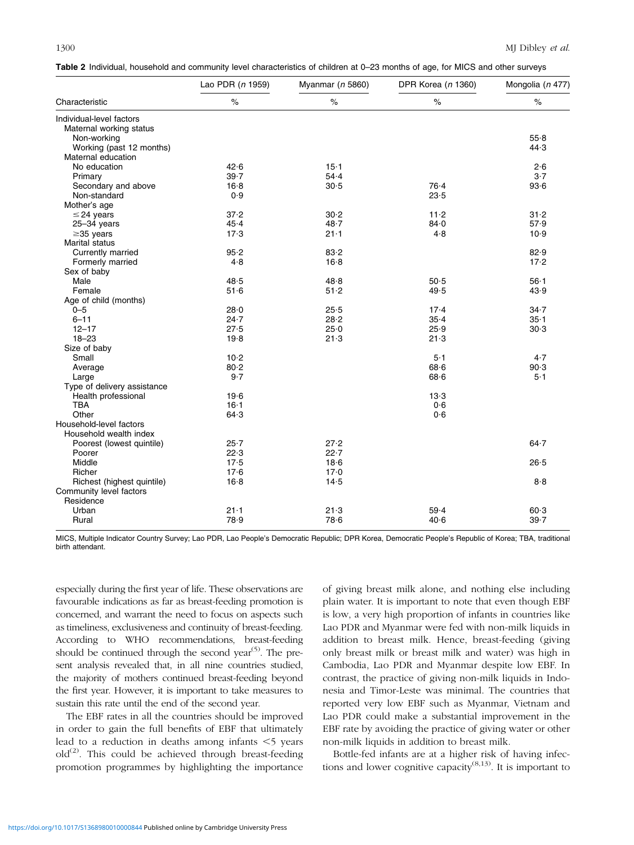|  |  | Table 2 Individual, household and community level characteristics of children at 0–23 months of age, for MICS and other surveys |  |  |  |  |
|--|--|---------------------------------------------------------------------------------------------------------------------------------|--|--|--|--|
|  |  |                                                                                                                                 |  |  |  |  |

|                                      | Lao PDR (n 1959) | Myanmar (n 5860) | DPR Korea (n 1360) | Mongolia (n 477) |
|--------------------------------------|------------------|------------------|--------------------|------------------|
| Characteristic                       | $\%$             | $\%$             | $\%$               | $\%$             |
| Individual-level factors             |                  |                  |                    |                  |
| Maternal working status              |                  |                  |                    |                  |
| Non-working                          |                  |                  |                    | 55.8             |
| Working (past 12 months)             |                  |                  |                    | 44.3             |
| Maternal education                   |                  |                  |                    |                  |
| No education                         | 42.6             | $15 - 1$         |                    | 2.6              |
| Primary                              | 39.7             | 54.4             |                    | $3-7$            |
| Secondary and above                  | $16-8$           | 30.5             | 76.4               | 93.6             |
| Non-standard                         | 0.9              |                  | 23.5               |                  |
| Mother's age                         |                  |                  |                    |                  |
| $\leq$ 24 years                      | 37.2             | 30.2             | $11 - 2$           | $31 - 2$         |
| $25 - 34$ years                      | 45.4             | 48.7             | 84.0               | 57.9             |
| $\geq$ 35 years                      | 17.3             | $21 - 1$         | 4.8                | 10.9             |
| <b>Marital status</b>                |                  |                  |                    |                  |
| Currently married                    | 95.2             | 83.2             |                    | 82.9             |
| Formerly married                     | 4.8              | 16.8             |                    | 17.2             |
| Sex of baby                          |                  |                  |                    |                  |
| Male                                 | 48.5             | 48.8             | 50.5               | $56 - 1$         |
| Female                               | 51.6             | 51.2             | 49.5               | 43.9             |
| Age of child (months)                |                  |                  |                    |                  |
| $0 - 5$                              | 28.0             | 25.5             | $17-4$             | $34 - 7$         |
| $6 - 11$                             | 24.7             | 28.2             | $35 - 4$           | $35 - 1$         |
| $12 - 17$                            | 27.5             | 25.0             | 25.9               | 30.3             |
| $18 - 23$                            | 19.8             | 21.3             | 21.3               |                  |
| Size of baby                         |                  |                  |                    |                  |
| Small                                | $10 - 2$         |                  | $5-1$              | 4.7              |
| Average                              | 80.2             |                  | 68.6               | 90.3             |
|                                      | 9.7              |                  | 68.6               | $5-1$            |
| Large<br>Type of delivery assistance |                  |                  |                    |                  |
|                                      |                  |                  | 13.3               |                  |
| Health professional<br><b>TBA</b>    | 19.6             |                  | 0.6                |                  |
|                                      | $16 - 1$         |                  |                    |                  |
| Other                                | 64.3             |                  | 0.6                |                  |
| Household-level factors              |                  |                  |                    |                  |
| Household wealth index               |                  |                  |                    |                  |
| Poorest (lowest quintile)            | $25 - 7$         | 27.2             |                    | $64 - 7$         |
| Poorer                               | 22.3             | 22.7             |                    |                  |
| Middle                               | 17.5             | 18.6             |                    | 26.5             |
| Richer                               | 17.6             | 17.0             |                    |                  |
| Richest (highest quintile)           | $16 - 8$         | 14.5             |                    | 8.8              |
| Community level factors              |                  |                  |                    |                  |
| Residence                            |                  |                  |                    |                  |
| Urban                                | $21 - 1$         | 21.3             | 59.4               | 60.3             |
| Rural                                | 78.9             | 78.6             | 40.6               | 39.7             |

MICS, Multiple Indicator Country Survey; Lao PDR, Lao People's Democratic Republic; DPR Korea, Democratic People's Republic of Korea; TBA, traditional birth attendant.

especially during the first year of life. These observations are favourable indications as far as breast-feeding promotion is concerned, and warrant the need to focus on aspects such as timeliness, exclusiveness and continuity of breast-feeding. According to WHO recommendations, breast-feeding should be continued through the second year<sup> $(5)$ </sup>. The present analysis revealed that, in all nine countries studied, the majority of mothers continued breast-feeding beyond the first year. However, it is important to take measures to sustain this rate until the end of the second year.

The EBF rates in all the countries should be improved in order to gain the full benefits of EBF that ultimately lead to a reduction in deaths among infants  $\leq$  years  $old^{(2)}$ . This could be achieved through breast-feeding promotion programmes by highlighting the importance

of giving breast milk alone, and nothing else including plain water. It is important to note that even though EBF is low, a very high proportion of infants in countries like Lao PDR and Myanmar were fed with non-milk liquids in addition to breast milk. Hence, breast-feeding (giving only breast milk or breast milk and water) was high in Cambodia, Lao PDR and Myanmar despite low EBF. In contrast, the practice of giving non-milk liquids in Indonesia and Timor-Leste was minimal. The countries that reported very low EBF such as Myanmar, Vietnam and Lao PDR could make a substantial improvement in the EBF rate by avoiding the practice of giving water or other non-milk liquids in addition to breast milk.

Bottle-fed infants are at a higher risk of having infections and lower cognitive capacity $^{(8,13)}$ . It is important to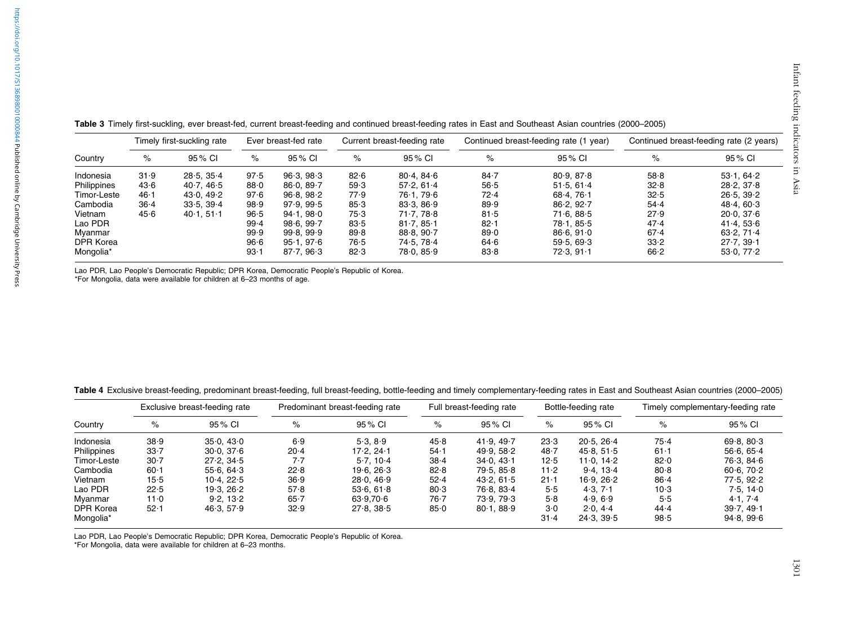| Country     | Timely first-suckling rate |            | Ever breast-fed rate |            | Current breast-feeding rate |               |          | Continued breast-feeding rate (1 year) | Continued breast-feeding rate (2 years) |                         |
|-------------|----------------------------|------------|----------------------|------------|-----------------------------|---------------|----------|----------------------------------------|-----------------------------------------|-------------------------|
|             | %                          | 95% CI     | $\%$                 | 95 % CI    | $\%$                        | 95 % CI       | %        | 95 % CI                                | $\%$                                    | 95 % CI                 |
| Indonesia   | 31.9                       | 28.5.35.4  | 97.5                 | 96.3.98.3  | 82.6                        | 80.4.846      | $84 - 7$ | 80.9.87.8                              | 58.8                                    | $53 \cdot 1.64 \cdot 2$ |
| Philippines | 43.6                       | 40.7, 46.5 | 88.0                 | 86.0, 89.7 | 59.3                        | 57.2.61.4     | 56.5     | 51.5.61.4                              | 32.8                                    | 28.2.37.8               |
| Timor-Leste | $46 - 1$                   | 43.0.49.2  | 97.6                 | 96.8.98.2  | 77.9                        | 76.1.79.6     | 72.4     | 68.4.761                               | 32.5                                    | 26.5, 39.2              |
| Cambodia    | $36 - 4$                   | 33.5.39.4  | 98.9                 | 97.9.99.5  | 85.3                        | 83.3.86.9     | 89.9     | 86.2.92.7                              | 54.4                                    | 48.4.60.3               |
| Vietnam     | 45.6                       | 40.1.511   | 96.5                 | 94.1.980   | 75.3                        | 71.77.78.8    | 81.5     | 71.6.88.5                              | 27.9                                    | 20.0, 37.6              |
| Lao PDR     |                            |            | 99.4                 | 98.6.99.7  | 83.5                        | 81.7.85.1     | $82 - 1$ | 78.1.85.5                              | 47.4                                    | 41.4, 53.6              |
| Myanmar     |                            |            | 99.9                 | 99.8, 99.9 | 89.8                        | $88.8.90 - 7$ | 89.0     | 86.6.91.0                              | 67.4                                    | 63.2.71.4               |
| DPR Korea   |                            |            | 96.6                 | 95.1.976   | 76.5                        | 74.5.78.4     | 64.6     | 59.5.69.3                              | 33.2                                    | 27.7.39.1               |
| Mongolia*   |                            |            | 93.1                 | 87.7, 96.3 | 82.3                        | 78.0, 85.9    | 83.8     | 72.3, 91.1                             | 66.2                                    | 53.0, 77.2              |

Table 3 Timely first-suckling, ever breast-fed, current breast-feeding and continued breast-feeding rates in East and Southeast Asian countries (2000–2005)

Lao PDR, Lao People's Democratic Republic; DPR Korea, Democratic People's Republic of Korea.

\*For Mongolia, data were available for children at 6–23 months of age.

Table 4 Exclusive breast-feeding, predominant breast-feeding, full breast-feeding, bottle-feeding and timely complementary-feeding rates in East and Southeast Asian countries (2000–2005)

|             | Exclusive breast-feeding rate |            | Predominant breast-feeding rate |               | Full breast-feeding rate |            | Bottle-feeding rate |            | Timely complementary-feeding rate |            |
|-------------|-------------------------------|------------|---------------------------------|---------------|--------------------------|------------|---------------------|------------|-----------------------------------|------------|
| Country     | %                             | 95 % CI    | $\%$                            | 95 % CI       | $\%$                     | 95% CI     | %                   | 95 % CI    | %                                 | 95 % CI    |
| Indonesia   | 38.9                          | 35.0, 43.0 | 6.9                             | 5.3.8.9       | 45.8                     | 41.9.49.7  | 23.3                | 20.5.26.4  | 75.4                              | 69.8, 80.3 |
| Philippines | $33 - 7$                      | 30.0, 37.6 | $20-4$                          | 17.2.24.1     | $54 - 1$                 | 49.9.58.2  | 48.7                | 45.8, 51.5 | $61-1$                            | 56.6666    |
| Timor-Leste | $30 - 7$                      | 27.2.34.5  | 7.7                             | $5.7.10-4$    | $38 - 4$                 | 34.0.431   | 12.5                | 11.0.14.2  | 82.0                              | 76.3.84.6  |
| Cambodia    | $60 - 1$                      | 55.6.64.3  | 22.8                            | 19.6.26.3     | 82.8                     | 79.5.85.8  | $11-2$              | 9.4.13.4   | 80.8                              | 60.6, 70.2 |
| Vietnam     | $15-5$                        | 10.4.22.5  | 36.9                            | 28.0, 46.9    | 52.4                     | 43.2.61.5  | $21 - 1$            | 16.9.26.2  | $86 - 4$                          | 77.5.92.2  |
| Lao PDR     | 22.5                          | 19.3.26.2  | 57.8                            | 53.6.61.8     | 80.3                     | 76.8.83.4  | 5.5                 | 4.3.7.1    | $10-3$                            | 7.5.14.0   |
| Myanmar     | 11.0                          | 9.2.13.2   | $65 - 7$                        | $63.9.70 - 6$ | $76 - 7$                 | 73.9.79.3  | 5.8                 | 4.9.6.9    | 5.5                               | 4.1, 7.4   |
| DPR Korea   | $52 - 1$                      | 46.3, 57.9 | 32.9                            | 27.8, 38.5    | 85.0                     | 80.1, 88.9 | $3-0$               | 2.0.44     | 44.4                              | 39.7.49.1  |
| Mongolia*   |                               |            |                                 |               |                          |            | $31 - 4$            | 24.3.39.5  | 98.5                              | 94.8, 99.6 |

Lao PDR, Lao People's Democratic Republic; DPR Korea, Democratic People's Republic of Korea.

\*For Mongolia, data were available for children at 6–23 months.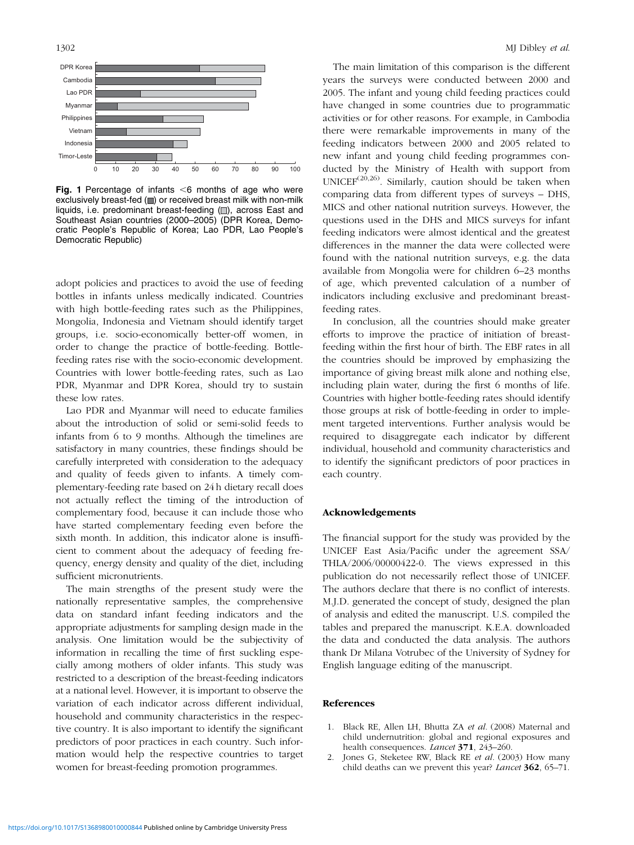

Fig. 1 Percentage of infants  $<$ 6 months of age who were exclusively breast-fed ( $\blacksquare$ ) or received breast milk with non-milk liquids, i.e. predominant breast-feeding  $(\square)$ , across East and Southeast Asian countries (2000–2005) (DPR Korea, Democratic People's Republic of Korea; Lao PDR, Lao People's Democratic Republic)

adopt policies and practices to avoid the use of feeding bottles in infants unless medically indicated. Countries with high bottle-feeding rates such as the Philippines, Mongolia, Indonesia and Vietnam should identify target groups, i.e. socio-economically better-off women, in order to change the practice of bottle-feeding. Bottlefeeding rates rise with the socio-economic development. Countries with lower bottle-feeding rates, such as Lao PDR, Myanmar and DPR Korea, should try to sustain these low rates.

Lao PDR and Myanmar will need to educate families about the introduction of solid or semi-solid feeds to infants from 6 to 9 months. Although the timelines are satisfactory in many countries, these findings should be carefully interpreted with consideration to the adequacy and quality of feeds given to infants. A timely complementary-feeding rate based on 24 h dietary recall does not actually reflect the timing of the introduction of complementary food, because it can include those who have started complementary feeding even before the sixth month. In addition, this indicator alone is insufficient to comment about the adequacy of feeding frequency, energy density and quality of the diet, including sufficient micronutrients.

The main strengths of the present study were the nationally representative samples, the comprehensive data on standard infant feeding indicators and the appropriate adjustments for sampling design made in the analysis. One limitation would be the subjectivity of information in recalling the time of first suckling especially among mothers of older infants. This study was restricted to a description of the breast-feeding indicators at a national level. However, it is important to observe the variation of each indicator across different individual, household and community characteristics in the respective country. It is also important to identify the significant predictors of poor practices in each country. Such information would help the respective countries to target women for breast-feeding promotion programmes.

The main limitation of this comparison is the different years the surveys were conducted between 2000 and 2005. The infant and young child feeding practices could have changed in some countries due to programmatic activities or for other reasons. For example, in Cambodia there were remarkable improvements in many of the feeding indicators between 2000 and 2005 related to new infant and young child feeding programmes conducted by the Ministry of Health with support from UNICEF $(20,26)$ . Similarly, caution should be taken when comparing data from different types of surveys – DHS, MICS and other national nutrition surveys. However, the questions used in the DHS and MICS surveys for infant feeding indicators were almost identical and the greatest differences in the manner the data were collected were found with the national nutrition surveys, e.g. the data available from Mongolia were for children 6–23 months of age, which prevented calculation of a number of indicators including exclusive and predominant breastfeeding rates.

In conclusion, all the countries should make greater efforts to improve the practice of initiation of breastfeeding within the first hour of birth. The EBF rates in all the countries should be improved by emphasizing the importance of giving breast milk alone and nothing else, including plain water, during the first 6 months of life. Countries with higher bottle-feeding rates should identify those groups at risk of bottle-feeding in order to implement targeted interventions. Further analysis would be required to disaggregate each indicator by different individual, household and community characteristics and to identify the significant predictors of poor practices in each country.

#### Acknowledgements

The financial support for the study was provided by the UNICEF East Asia/Pacific under the agreement SSA/ THLA/2006/00000422-0. The views expressed in this publication do not necessarily reflect those of UNICEF. The authors declare that there is no conflict of interests. M.J.D. generated the concept of study, designed the plan of analysis and edited the manuscript. U.S. compiled the tables and prepared the manuscript. K.E.A. downloaded the data and conducted the data analysis. The authors thank Dr Milana Votrubec of the University of Sydney for English language editing of the manuscript.

#### References

- 1. Black RE, Allen LH, Bhutta ZA et al. (2008) Maternal and child undernutrition: global and regional exposures and health consequences. *Lancet* 371, 243-260.
- 2. Jones G, Steketee RW, Black RE et al. (2003) How many child deaths can we prevent this year? Lancet 362, 65-71.